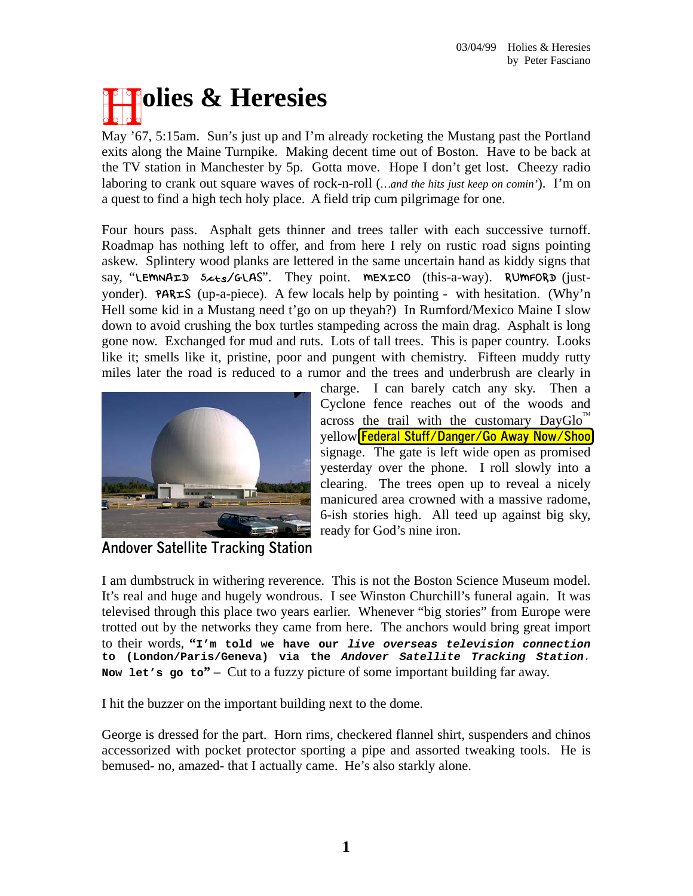## **Francisco & Heresies**

May '67, 5:15am. Sun's just up and I'm already rocketing the Mustang past the Portland exits along the Maine Turnpike. Making decent time out of Boston. Have to be back at the TV station in Manchester by 5p. Gotta move. Hope I don't get lost. Cheezy radio laboring to crank out square waves of rock-n-roll (*…and the hits just keep on comin'*). I'm on a quest to find a high tech holy place. A field trip cum pilgrimage for one.

Four hours pass. Asphalt gets thinner and trees taller with each successive turnoff. Roadmap has nothing left to offer, and from here I rely on rustic road signs pointing askew. Splintery wood planks are lettered in the same uncertain hand as kiddy signs that say, "LEMNAID 5 << s/GLAS". They point. MEXICO (this-a-way). RUMFORD (justyonder). **PARES** (up-a-piece). A few locals help by pointing - with hesitation. (Why'n Hell some kid in a Mustang need t'go on up theyah?) In Rumford/Mexico Maine I slow down to avoid crushing the box turtles stampeding across the main drag. Asphalt is long gone now. Exchanged for mud and ruts. Lots of tall trees. This is paper country. Looks like it; smells like it, pristine, poor and pungent with chemistry. Fifteen muddy rutty miles later the road is reduced to a rumor and the trees and underbrush are clearly in



charge. I can barely catch any sky. Then a Cyclone fence reaches out of the woods and across the trail with the customary  $David$ yellow **Federal Stuff/Danger/Go Away Now/Shoo** signage. The gate is left wide open as promised yesterday over the phone. I roll slowly into a clearing. The trees open up to reveal a nicely manicured area crowned with a massive radome, 6-ish stories high. All teed up against big sky, ready for God's nine iron.

**Andover Satellite Tracking Station** 

I am dumbstruck in withering reverence. This is not the Boston Science Museum model. It's real and huge and hugely wondrous. I see Winston Churchill's funeral again. It was televised through this place two years earlier. Whenever "big stories" from Europe were trotted out by the networks they came from here. The anchors would bring great import to their words, **"I'm told we have our** *live overseas television connection* **to (London/Paris/Geneva) via the** *Andover Satellite Tracking Station.* Now let's go to<sup>"</sup> – Cut to a fuzzy picture of some important building far away.

I hit the buzzer on the important building next to the dome.

George is dressed for the part. Horn rims, checkered flannel shirt, suspenders and chinos accessorized with pocket protector sporting a pipe and assorted tweaking tools. He is bemused- no, amazed- that I actually came. He's also starkly alone.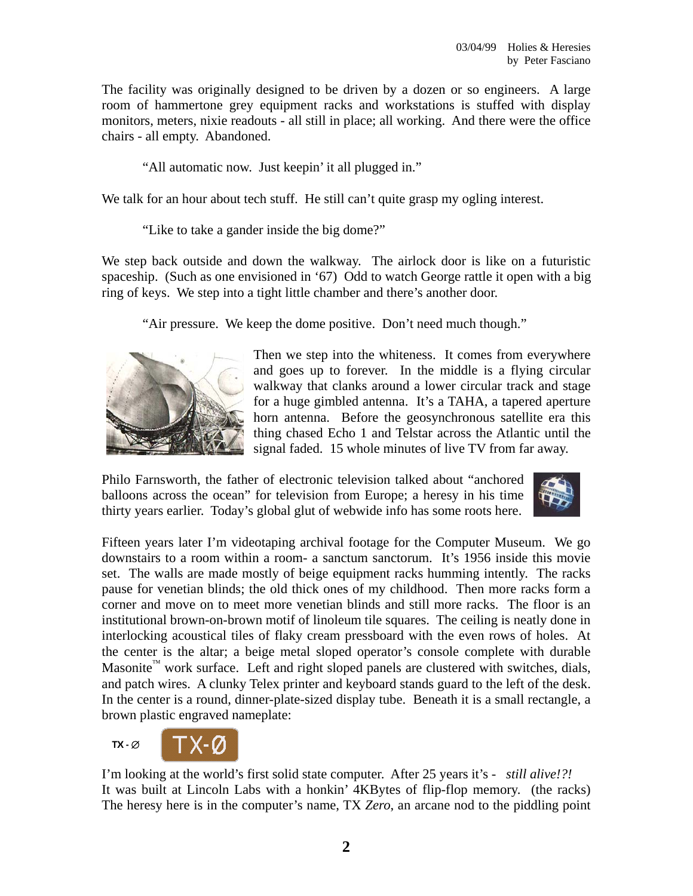The facility was originally designed to be driven by a dozen or so engineers. A large room of hammertone grey equipment racks and workstations is stuffed with display monitors, meters, nixie readouts - all still in place; all working. And there were the office chairs - all empty. Abandoned.

"All automatic now. Just keepin' it all plugged in."

We talk for an hour about tech stuff. He still can't quite grasp my ogling interest.

"Like to take a gander inside the big dome?"

We step back outside and down the walkway. The airlock door is like on a futuristic spaceship. (Such as one envisioned in '67) Odd to watch George rattle it open with a big ring of keys. We step into a tight little chamber and there's another door.

"Air pressure. We keep the dome positive. Don't need much though."



Then we step into the whiteness. It comes from everywhere and goes up to forever. In the middle is a flying circular walkway that clanks around a lower circular track and stage for a huge gimbled antenna. It's a TAHA, a tapered aperture horn antenna. Before the geosynchronous satellite era this thing chased Echo 1 and Telstar across the Atlantic until the signal faded. 15 whole minutes of live TV from far away.

Philo Farnsworth, the father of electronic television talked about "anchored balloons across the ocean" for television from Europe; a heresy in his time thirty years earlier. Today's global glut of webwide info has some roots here.



Fifteen years later I'm videotaping archival footage for the Computer Museum. We go downstairs to a room within a room- a sanctum sanctorum. It's 1956 inside this movie set. The walls are made mostly of beige equipment racks humming intently. The racks pause for venetian blinds; the old thick ones of my childhood. Then more racks form a corner and move on to meet more venetian blinds and still more racks. The floor is an institutional brown-on-brown motif of linoleum tile squares. The ceiling is neatly done in interlocking acoustical tiles of flaky cream pressboard with the even rows of holes. At the center is the altar; a beige metal sloped operator's console complete with durable Masonite<sup>™</sup> work surface. Left and right sloped panels are clustered with switches, dials, and patch wires. A clunky Telex printer and keyboard stands guard to the left of the desk. In the center is a round, dinner-plate-sized display tube. Beneath it is a small rectangle, a brown plastic engraved nameplate:



I'm looking at the world's first solid state computer. After 25 years it's - *still alive!?!* It was built at Lincoln Labs with a honkin' 4KBytes of flip-flop memory. (the racks) The heresy here is in the computer's name, TX *Zero*, an arcane nod to the piddling point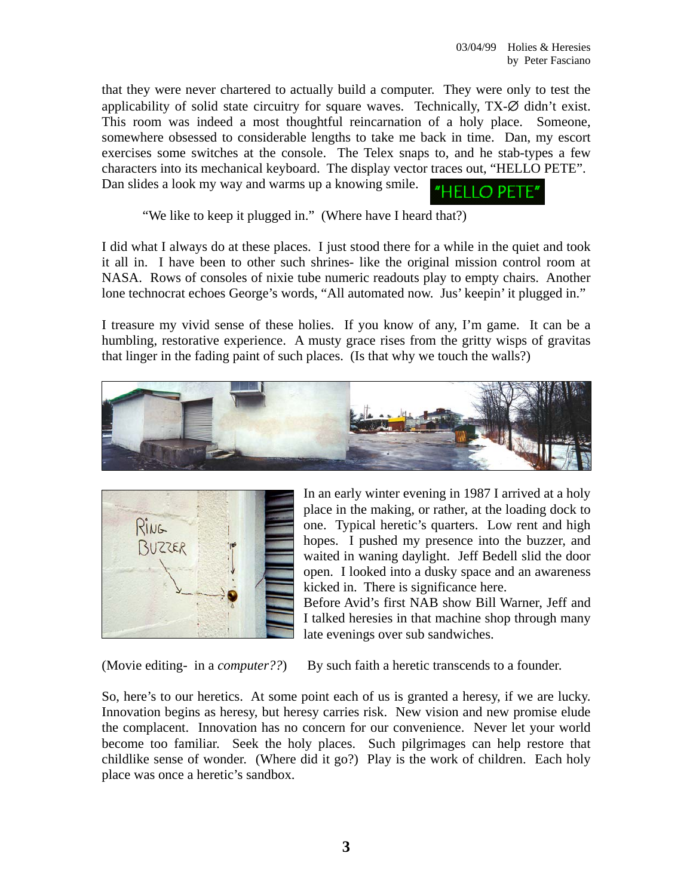that they were never chartered to actually build a computer. They were only to test the applicability of solid state circuitry for square waves. Technically, TX-∅ didn't exist. This room was indeed a most thoughtful reincarnation of a holy place. Someone, somewhere obsessed to considerable lengths to take me back in time. Dan, my escort exercises some switches at the console. The Telex snaps to, and he stab-types a few characters into its mechanical keyboard. The display vector traces out, "HELLO PETE". Dan slides a look my way and warms up a knowing smile.

"HELLO PETE"

"We like to keep it plugged in." (Where have I heard that?)

I did what I always do at these places. I just stood there for a while in the quiet and took it all in. I have been to other such shrines- like the original mission control room at NASA. Rows of consoles of nixie tube numeric readouts play to empty chairs. Another lone technocrat echoes George's words, "All automated now. Jus' keepin' it plugged in."

I treasure my vivid sense of these holies. If you know of any, I'm game. It can be a humbling, restorative experience. A musty grace rises from the gritty wisps of gravitas that linger in the fading paint of such places. (Is that why we touch the walls?)





In an early winter evening in 1987 I arrived at a holy place in the making, or rather, at the loading dock to one. Typical heretic's quarters. Low rent and high hopes. I pushed my presence into the buzzer, and waited in waning daylight. Jeff Bedell slid the door open. I looked into a dusky space and an awareness kicked in. There is significance here.

Before Avid's first NAB show Bill Warner, Jeff and I talked heresies in that machine shop through many late evenings over sub sandwiches.

(Movie editing- in a *computer??*) By such faith a heretic transcends to a founder.

So, here's to our heretics. At some point each of us is granted a heresy, if we are lucky. Innovation begins as heresy, but heresy carries risk. New vision and new promise elude the complacent. Innovation has no concern for our convenience. Never let your world become too familiar. Seek the holy places. Such pilgrimages can help restore that childlike sense of wonder. (Where did it go?) Play is the work of children. Each holy place was once a heretic's sandbox.